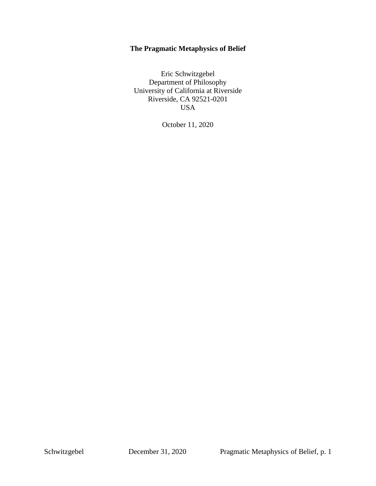# **The Pragmatic Metaphysics of Belief**

Eric Schwitzgebel Department of Philosophy University of California at Riverside Riverside, CA 92521-0201 USA

October 11, 2020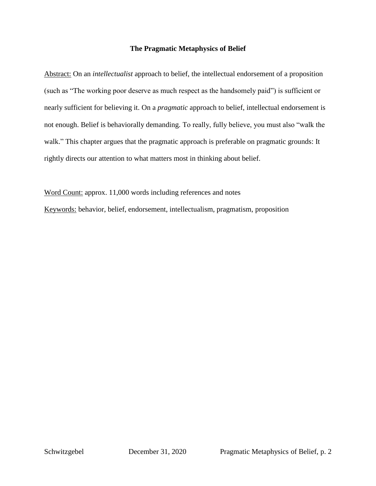# **The Pragmatic Metaphysics of Belief**

Abstract: On an *intellectualist* approach to belief, the intellectual endorsement of a proposition (such as "The working poor deserve as much respect as the handsomely paid") is sufficient or nearly sufficient for believing it. On a *pragmatic* approach to belief, intellectual endorsement is not enough. Belief is behaviorally demanding. To really, fully believe, you must also "walk the walk." This chapter argues that the pragmatic approach is preferable on pragmatic grounds: It rightly directs our attention to what matters most in thinking about belief.

Word Count: approx. 11,000 words including references and notes Keywords: behavior, belief, endorsement, intellectualism, pragmatism, proposition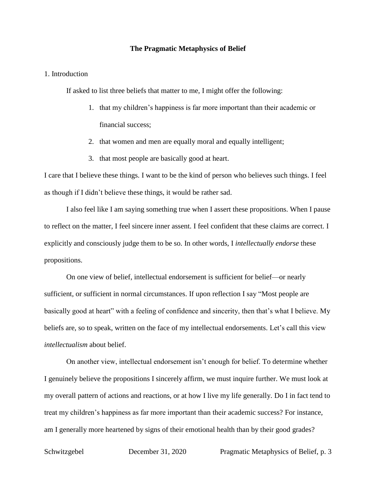#### **The Pragmatic Metaphysics of Belief**

## 1. Introduction

If asked to list three beliefs that matter to me, I might offer the following:

- 1. that my children's happiness is far more important than their academic or financial success;
- 2. that women and men are equally moral and equally intelligent;
- 3. that most people are basically good at heart.

I care that I believe these things. I want to be the kind of person who believes such things. I feel as though if I didn't believe these things, it would be rather sad.

I also feel like I am saying something true when I assert these propositions. When I pause to reflect on the matter, I feel sincere inner assent. I feel confident that these claims are correct. I explicitly and consciously judge them to be so. In other words, I *intellectually endorse* these propositions.

On one view of belief, intellectual endorsement is sufficient for belief—or nearly sufficient, or sufficient in normal circumstances. If upon reflection I say "Most people are basically good at heart" with a feeling of confidence and sincerity, then that's what I believe. My beliefs are, so to speak, written on the face of my intellectual endorsements. Let's call this view *intellectualism* about belief.

On another view, intellectual endorsement isn't enough for belief. To determine whether I genuinely believe the propositions I sincerely affirm, we must inquire further. We must look at my overall pattern of actions and reactions, or at how I live my life generally. Do I in fact tend to treat my children's happiness as far more important than their academic success? For instance, am I generally more heartened by signs of their emotional health than by their good grades?

Schwitzgebel December 31, 2020 Pragmatic Metaphysics of Belief, p. 3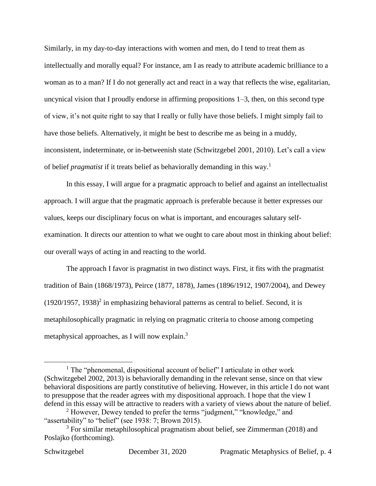Similarly, in my day-to-day interactions with women and men, do I tend to treat them as intellectually and morally equal? For instance, am I as ready to attribute academic brilliance to a woman as to a man? If I do not generally act and react in a way that reflects the wise, egalitarian, uncynical vision that I proudly endorse in affirming propositions 1–3, then, on this second type of view, it's not quite right to say that I really or fully have those beliefs. I might simply fail to have those beliefs. Alternatively, it might be best to describe me as being in a muddy, inconsistent, indeterminate, or in-betweenish state (Schwitzgebel 2001, 2010). Let's call a view of belief *pragmatist* if it treats belief as behaviorally demanding in this way.<sup>1</sup>

In this essay, I will argue for a pragmatic approach to belief and against an intellectualist approach. I will argue that the pragmatic approach is preferable because it better expresses our values, keeps our disciplinary focus on what is important, and encourages salutary selfexamination. It directs our attention to what we ought to care about most in thinking about belief: our overall ways of acting in and reacting to the world.

The approach I favor is pragmatist in two distinct ways. First, it fits with the pragmatist tradition of Bain (1868/1973), Peirce (1877, 1878), James (1896/1912, 1907/2004), and Dewey  $(1920/1957, 1938)^2$  in emphasizing behavioral patterns as central to belief. Second, it is metaphilosophically pragmatic in relying on pragmatic criteria to choose among competing metaphysical approaches, as I will now explain.<sup>3</sup>

 $<sup>1</sup>$  The "phenomenal, dispositional account of belief" I articulate in other work</sup> (Schwitzgebel 2002, 2013) is behaviorally demanding in the relevant sense, since on that view behavioral dispositions are partly constitutive of believing. However, in this article I do not want to presuppose that the reader agrees with my dispositional approach. I hope that the view I defend in this essay will be attractive to readers with a variety of views about the nature of belief.

<sup>&</sup>lt;sup>2</sup> However, Dewey tended to prefer the terms "judgment," "knowledge," and "assertability" to "belief" (see 1938: 7; Brown 2015).

 $3$  For similar metaphilosophical pragmatism about belief, see Zimmerman (2018) and Poslajko (forthcoming).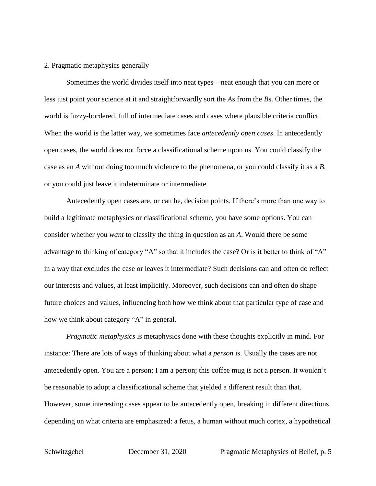## 2. Pragmatic metaphysics generally

Sometimes the world divides itself into neat types—neat enough that you can more or less just point your science at it and straightforwardly sort the *A*s from the *B*s. Other times, the world is fuzzy-bordered, full of intermediate cases and cases where plausible criteria conflict. When the world is the latter way, we sometimes face *antecedently open cases*. In antecedently open cases, the world does not force a classificational scheme upon us. You could classify the case as an *A* without doing too much violence to the phenomena, or you could classify it as a *B*, or you could just leave it indeterminate or intermediate.

Antecedently open cases are, or can be, decision points. If there's more than one way to build a legitimate metaphysics or classificational scheme, you have some options. You can consider whether you *want* to classify the thing in question as an *A*. Would there be some advantage to thinking of category "A" so that it includes the case? Or is it better to think of "A" in a way that excludes the case or leaves it intermediate? Such decisions can and often do reflect our interests and values, at least implicitly. Moreover, such decisions can and often do shape future choices and values, influencing both how we think about that particular type of case and how we think about category "A" in general.

*Pragmatic metaphysics* is metaphysics done with these thoughts explicitly in mind. For instance: There are lots of ways of thinking about what a *person* is. Usually the cases are not antecedently open. You are a person; I am a person; this coffee mug is not a person. It wouldn't be reasonable to adopt a classificational scheme that yielded a different result than that. However, some interesting cases appear to be antecedently open, breaking in different directions depending on what criteria are emphasized: a fetus, a human without much cortex, a hypothetical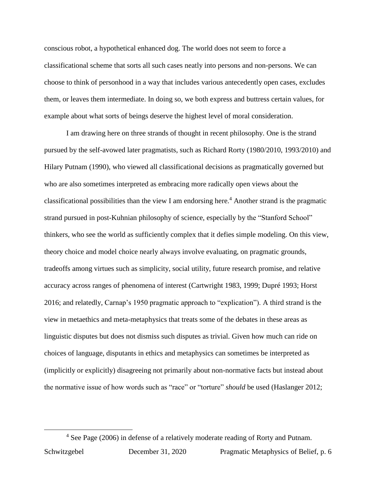conscious robot, a hypothetical enhanced dog. The world does not seem to force a classificational scheme that sorts all such cases neatly into persons and non-persons. We can choose to think of personhood in a way that includes various antecedently open cases, excludes them, or leaves them intermediate. In doing so, we both express and buttress certain values, for example about what sorts of beings deserve the highest level of moral consideration.

I am drawing here on three strands of thought in recent philosophy. One is the strand pursued by the self-avowed later pragmatists, such as Richard Rorty (1980/2010, 1993/2010) and Hilary Putnam (1990), who viewed all classificational decisions as pragmatically governed but who are also sometimes interpreted as embracing more radically open views about the classificational possibilities than the view I am endorsing here. <sup>4</sup> Another strand is the pragmatic strand pursued in post-Kuhnian philosophy of science, especially by the "Stanford School" thinkers, who see the world as sufficiently complex that it defies simple modeling. On this view, theory choice and model choice nearly always involve evaluating, on pragmatic grounds, tradeoffs among virtues such as simplicity, social utility, future research promise, and relative accuracy across ranges of phenomena of interest (Cartwright 1983, 1999; Dupré 1993; Horst 2016; and relatedly, Carnap's 1950 pragmatic approach to "explication"). A third strand is the view in metaethics and meta-metaphysics that treats some of the debates in these areas as linguistic disputes but does not dismiss such disputes as trivial. Given how much can ride on choices of language, disputants in ethics and metaphysics can sometimes be interpreted as (implicitly or explicitly) disagreeing not primarily about non-normative facts but instead about the normative issue of how words such as "race" or "torture" *should* be used (Haslanger 2012;

<sup>4</sup> See Page (2006) in defense of a relatively moderate reading of Rorty and Putnam.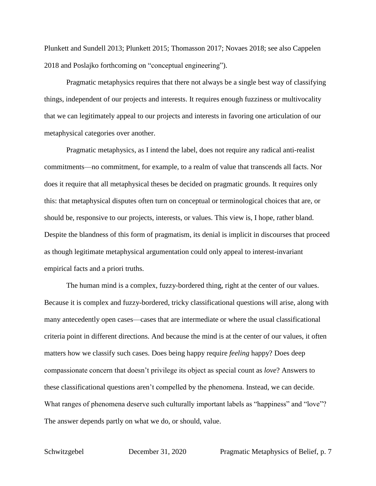Plunkett and Sundell 2013; Plunkett 2015; Thomasson 2017; Novaes 2018; see also Cappelen 2018 and Poslajko forthcoming on "conceptual engineering").

Pragmatic metaphysics requires that there not always be a single best way of classifying things, independent of our projects and interests. It requires enough fuzziness or multivocality that we can legitimately appeal to our projects and interests in favoring one articulation of our metaphysical categories over another.

Pragmatic metaphysics, as I intend the label, does not require any radical anti-realist commitments—no commitment, for example, to a realm of value that transcends all facts. Nor does it require that all metaphysical theses be decided on pragmatic grounds. It requires only this: that metaphysical disputes often turn on conceptual or terminological choices that are, or should be, responsive to our projects, interests, or values. This view is, I hope, rather bland. Despite the blandness of this form of pragmatism, its denial is implicit in discourses that proceed as though legitimate metaphysical argumentation could only appeal to interest-invariant empirical facts and a priori truths.

The human mind is a complex, fuzzy-bordered thing, right at the center of our values. Because it is complex and fuzzy-bordered, tricky classificational questions will arise, along with many antecedently open cases—cases that are intermediate or where the usual classificational criteria point in different directions. And because the mind is at the center of our values, it often matters how we classify such cases. Does being happy require *feeling* happy? Does deep compassionate concern that doesn't privilege its object as special count as *love*? Answers to these classificational questions aren't compelled by the phenomena. Instead, we can decide. What ranges of phenomena deserve such culturally important labels as "happiness" and "love"? The answer depends partly on what we do, or should, value.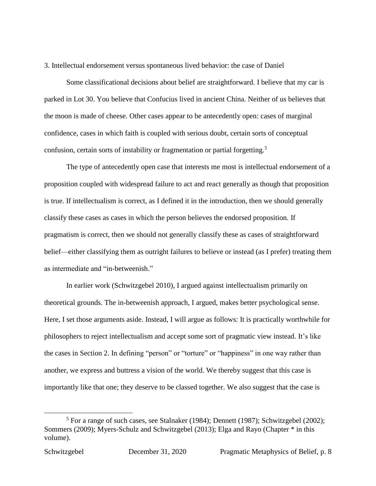3. Intellectual endorsement versus spontaneous lived behavior: the case of Daniel

Some classificational decisions about belief are straightforward. I believe that my car is parked in Lot 30. You believe that Confucius lived in ancient China. Neither of us believes that the moon is made of cheese. Other cases appear to be antecedently open: cases of marginal confidence, cases in which faith is coupled with serious doubt, certain sorts of conceptual confusion, certain sorts of instability or fragmentation or partial forgetting.<sup>5</sup>

The type of antecedently open case that interests me most is intellectual endorsement of a proposition coupled with widespread failure to act and react generally as though that proposition is true. If intellectualism is correct, as I defined it in the introduction, then we should generally classify these cases as cases in which the person believes the endorsed proposition. If pragmatism is correct, then we should not generally classify these as cases of straightforward belief—either classifying them as outright failures to believe or instead (as I prefer) treating them as intermediate and "in-betweenish."

In earlier work (Schwitzgebel 2010), I argued against intellectualism primarily on theoretical grounds. The in-betweenish approach, I argued, makes better psychological sense. Here, I set those arguments aside. Instead, I will argue as follows: It is practically worthwhile for philosophers to reject intellectualism and accept some sort of pragmatic view instead. It's like the cases in Section 2. In defining "person" or "torture" or "happiness" in one way rather than another, we express and buttress a vision of the world. We thereby suggest that this case is importantly like that one; they deserve to be classed together. We also suggest that the case is

 $5$  For a range of such cases, see Stalnaker (1984); Dennett (1987); Schwitzgebel (2002); Sommers (2009); Myers-Schulz and Schwitzgebel (2013); Elga and Rayo (Chapter \* in this volume).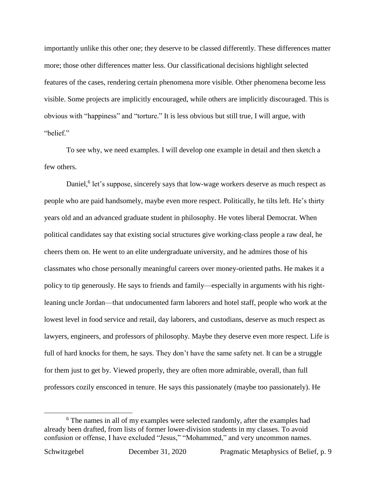importantly unlike this other one; they deserve to be classed differently. These differences matter more; those other differences matter less. Our classificational decisions highlight selected features of the cases, rendering certain phenomena more visible. Other phenomena become less visible. Some projects are implicitly encouraged, while others are implicitly discouraged. This is obvious with "happiness" and "torture." It is less obvious but still true, I will argue, with "belief."

To see why, we need examples. I will develop one example in detail and then sketch a few others.

Daniel,<sup>6</sup> let's suppose, sincerely says that low-wage workers deserve as much respect as people who are paid handsomely, maybe even more respect. Politically, he tilts left. He's thirty years old and an advanced graduate student in philosophy. He votes liberal Democrat. When political candidates say that existing social structures give working-class people a raw deal, he cheers them on. He went to an elite undergraduate university, and he admires those of his classmates who chose personally meaningful careers over money-oriented paths. He makes it a policy to tip generously. He says to friends and family—especially in arguments with his rightleaning uncle Jordan—that undocumented farm laborers and hotel staff, people who work at the lowest level in food service and retail, day laborers, and custodians, deserve as much respect as lawyers, engineers, and professors of philosophy. Maybe they deserve even more respect. Life is full of hard knocks for them, he says. They don't have the same safety net. It can be a struggle for them just to get by. Viewed properly, they are often more admirable, overall, than full professors cozily ensconced in tenure. He says this passionately (maybe too passionately). He

<sup>&</sup>lt;sup>6</sup> The names in all of my examples were selected randomly, after the examples had already been drafted, from lists of former lower-division students in my classes. To avoid confusion or offense, I have excluded "Jesus," "Mohammed," and very uncommon names.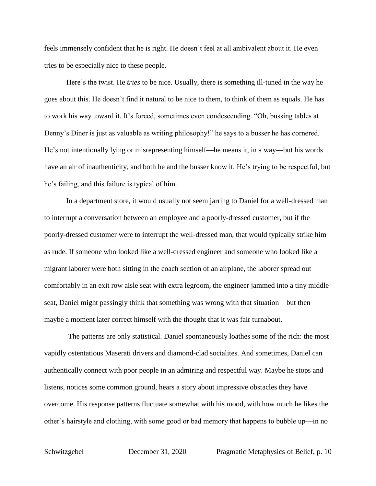feels immensely confident that he is right. He doesn't feel at all ambivalent about it. He even tries to be especially nice to these people.

Here's the twist. He *tries* to be nice. Usually, there is something ill-tuned in the way he goes about this. He doesn't find it natural to be nice to them, to think of them as equals. He has to work his way toward it. It's forced, sometimes even condescending. "Oh, bussing tables at Denny's Diner is just as valuable as writing philosophy!" he says to a busser he has cornered. He's not intentionally lying or misrepresenting himself—he means it, in a way—but his words have an air of inauthenticity, and both he and the busser know it. He's trying to be respectful, but he's failing, and this failure is typical of him.

In a department store, it would usually not seem jarring to Daniel for a well-dressed man to interrupt a conversation between an employee and a poorly-dressed customer, but if the poorly-dressed customer were to interrupt the well-dressed man, that would typically strike him as rude. If someone who looked like a well-dressed engineer and someone who looked like a migrant laborer were both sitting in the coach section of an airplane, the laborer spread out comfortably in an exit row aisle seat with extra legroom, the engineer jammed into a tiny middle seat, Daniel might passingly think that something was wrong with that situation—but then maybe a moment later correct himself with the thought that it was fair turnabout.

The patterns are only statistical. Daniel spontaneously loathes some of the rich: the most vapidly ostentatious Maserati drivers and diamond-clad socialites. And sometimes, Daniel can authentically connect with poor people in an admiring and respectful way. Maybe he stops and listens, notices some common ground, hears a story about impressive obstacles they have overcome. His response patterns fluctuate somewhat with his mood, with how much he likes the other's hairstyle and clothing, with some good or bad memory that happens to bubble up—in no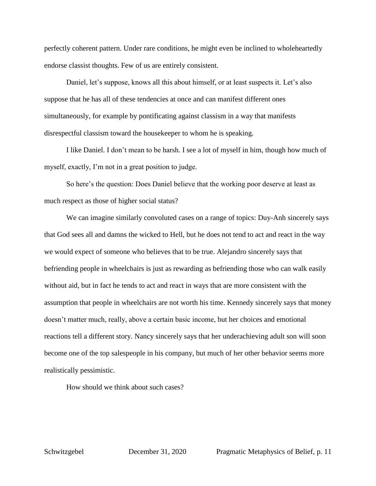perfectly coherent pattern. Under rare conditions, he might even be inclined to wholeheartedly endorse classist thoughts. Few of us are entirely consistent.

Daniel, let's suppose, knows all this about himself, or at least suspects it. Let's also suppose that he has all of these tendencies at once and can manifest different ones simultaneously, for example by pontificating against classism in a way that manifests disrespectful classism toward the housekeeper to whom he is speaking.

I like Daniel. I don't mean to be harsh. I see a lot of myself in him, though how much of myself, exactly, I'm not in a great position to judge.

So here's the question: Does Daniel believe that the working poor deserve at least as much respect as those of higher social status?

We can imagine similarly convoluted cases on a range of topics: Duy-Anh sincerely says that God sees all and damns the wicked to Hell, but he does not tend to act and react in the way we would expect of someone who believes that to be true. Alejandro sincerely says that befriending people in wheelchairs is just as rewarding as befriending those who can walk easily without aid, but in fact he tends to act and react in ways that are more consistent with the assumption that people in wheelchairs are not worth his time. Kennedy sincerely says that money doesn't matter much, really, above a certain basic income, but her choices and emotional reactions tell a different story. Nancy sincerely says that her underachieving adult son will soon become one of the top salespeople in his company, but much of her other behavior seems more realistically pessimistic.

How should we think about such cases?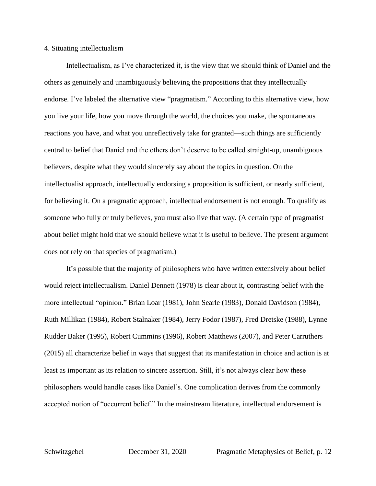#### 4. Situating intellectualism

Intellectualism, as I've characterized it, is the view that we should think of Daniel and the others as genuinely and unambiguously believing the propositions that they intellectually endorse. I've labeled the alternative view "pragmatism." According to this alternative view, how you live your life, how you move through the world, the choices you make, the spontaneous reactions you have, and what you unreflectively take for granted—such things are sufficiently central to belief that Daniel and the others don't deserve to be called straight-up, unambiguous believers, despite what they would sincerely say about the topics in question. On the intellectualist approach, intellectually endorsing a proposition is sufficient, or nearly sufficient, for believing it. On a pragmatic approach, intellectual endorsement is not enough. To qualify as someone who fully or truly believes, you must also live that way. (A certain type of pragmatist about belief might hold that we should believe what it is useful to believe. The present argument does not rely on that species of pragmatism.)

It's possible that the majority of philosophers who have written extensively about belief would reject intellectualism. Daniel Dennett (1978) is clear about it, contrasting belief with the more intellectual "opinion." Brian Loar (1981), John Searle (1983), Donald Davidson (1984), Ruth Millikan (1984), Robert Stalnaker (1984), Jerry Fodor (1987), Fred Dretske (1988), Lynne Rudder Baker (1995), Robert Cummins (1996), Robert Matthews (2007), and Peter Carruthers (2015) all characterize belief in ways that suggest that its manifestation in choice and action is at least as important as its relation to sincere assertion. Still, it's not always clear how these philosophers would handle cases like Daniel's. One complication derives from the commonly accepted notion of "occurrent belief." In the mainstream literature, intellectual endorsement is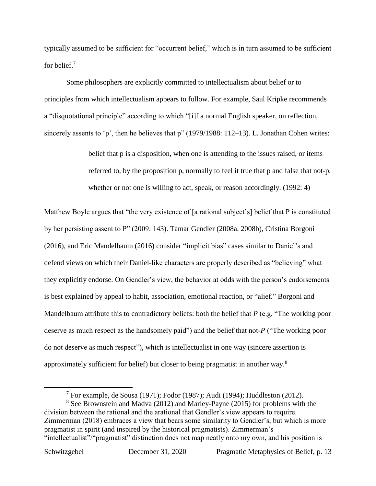typically assumed to be sufficient for "occurrent belief," which is in turn assumed to be sufficient for belief.<sup>7</sup>

Some philosophers are explicitly committed to intellectualism about belief or to principles from which intellectualism appears to follow. For example, Saul Kripke recommends a "disquotational principle" according to which "[i]f a normal English speaker, on reflection, sincerely assents to 'p', then he believes that p" (1979/1988: 112–13). L. Jonathan Cohen writes:

> belief that p is a disposition, when one is attending to the issues raised, or items referred to, by the proposition p, normally to feel it true that p and false that not-p, whether or not one is willing to act, speak, or reason accordingly. (1992: 4)

Matthew Boyle argues that "the very existence of [a rational subject's] belief that P is constituted by her persisting assent to P" (2009: 143). Tamar Gendler (2008a, 2008b), Cristina Borgoni (2016), and Eric Mandelbaum (2016) consider "implicit bias" cases similar to Daniel's and defend views on which their Daniel-like characters are properly described as "believing" what they explicitly endorse. On Gendler's view, the behavior at odds with the person's endorsements is best explained by appeal to habit, association, emotional reaction, or "alief." Borgoni and Mandelbaum attribute this to contradictory beliefs: both the belief that *P* (e.g. "The working poor deserve as much respect as the handsomely paid") and the belief that not-*P* ("The working poor do not deserve as much respect"), which is intellectualist in one way (sincere assertion is approximately sufficient for belief) but closer to being pragmatist in another way.<sup>8</sup>

<sup>8</sup> See Brownstein and Madva (2012) and Marley-Payne (2015) for problems with the division between the rational and the arational that Gendler's view appears to require. Zimmerman (2018) embraces a view that bears some similarity to Gendler's, but which is more pragmatist in spirit (and inspired by the historical pragmatists). Zimmerman's "intellectualist"/"pragmatist" distinction does not map neatly onto my own, and his position is

<sup>&</sup>lt;sup>7</sup> For example, de Sousa (1971); Fodor (1987); Audi (1994); Huddleston (2012).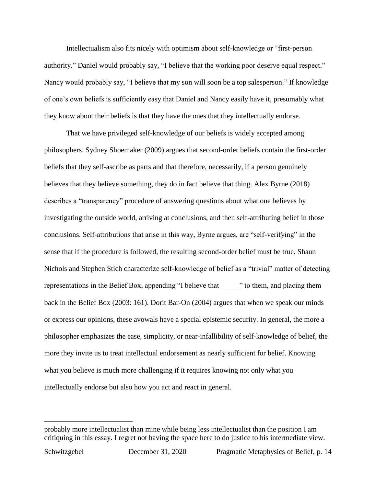Intellectualism also fits nicely with optimism about self-knowledge or "first-person authority." Daniel would probably say, "I believe that the working poor deserve equal respect." Nancy would probably say, "I believe that my son will soon be a top salesperson." If knowledge of one's own beliefs is sufficiently easy that Daniel and Nancy easily have it, presumably what they know about their beliefs is that they have the ones that they intellectually endorse.

That we have privileged self-knowledge of our beliefs is widely accepted among philosophers. Sydney Shoemaker (2009) argues that second-order beliefs contain the first-order beliefs that they self-ascribe as parts and that therefore, necessarily, if a person genuinely believes that they believe something, they do in fact believe that thing. Alex Byrne (2018) describes a "transparency" procedure of answering questions about what one believes by investigating the outside world, arriving at conclusions, and then self-attributing belief in those conclusions. Self-attributions that arise in this way, Byrne argues, are "self-verifying" in the sense that if the procedure is followed, the resulting second-order belief must be true. Shaun Nichols and Stephen Stich characterize self-knowledge of belief as a "trivial" matter of detecting representations in the Belief Box, appending "I believe that  $\cdots$ " to them, and placing them back in the Belief Box (2003: 161). Dorit Bar-On (2004) argues that when we speak our minds or express our opinions, these avowals have a special epistemic security. In general, the more a philosopher emphasizes the ease, simplicity, or near-infallibility of self-knowledge of belief, the more they invite us to treat intellectual endorsement as nearly sufficient for belief. Knowing what you believe is much more challenging if it requires knowing not only what you intellectually endorse but also how you act and react in general.

probably more intellectualist than mine while being less intellectualist than the position I am critiquing in this essay. I regret not having the space here to do justice to his intermediate view.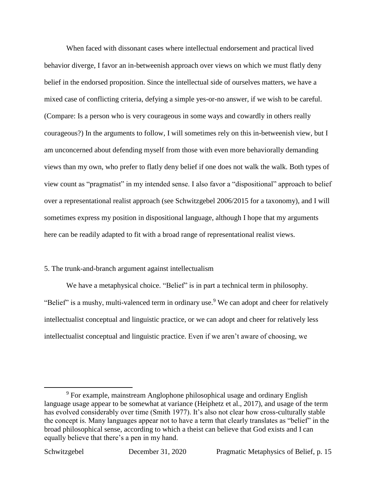When faced with dissonant cases where intellectual endorsement and practical lived behavior diverge, I favor an in-betweenish approach over views on which we must flatly deny belief in the endorsed proposition. Since the intellectual side of ourselves matters, we have a mixed case of conflicting criteria, defying a simple yes-or-no answer, if we wish to be careful. (Compare: Is a person who is very courageous in some ways and cowardly in others really courageous?) In the arguments to follow, I will sometimes rely on this in-betweenish view, but I am unconcerned about defending myself from those with even more behaviorally demanding views than my own, who prefer to flatly deny belief if one does not walk the walk. Both types of view count as "pragmatist" in my intended sense. I also favor a "dispositional" approach to belief over a representational realist approach (see Schwitzgebel 2006/2015 for a taxonomy), and I will sometimes express my position in dispositional language, although I hope that my arguments here can be readily adapted to fit with a broad range of representational realist views.

## 5. The trunk-and-branch argument against intellectualism

We have a metaphysical choice. "Belief" is in part a technical term in philosophy. "Belief" is a mushy, multi-valenced term in ordinary use.<sup>9</sup> We can adopt and cheer for relatively intellectualist conceptual and linguistic practice, or we can adopt and cheer for relatively less intellectualist conceptual and linguistic practice. Even if we aren't aware of choosing, we

<sup>9</sup> For example, mainstream Anglophone philosophical usage and ordinary English language usage appear to be somewhat at variance (Heiphetz et al., 2017), and usage of the term has evolved considerably over time (Smith 1977). It's also not clear how cross-culturally stable the concept is. Many languages appear not to have a term that clearly translates as "belief" in the broad philosophical sense, according to which a theist can believe that God exists and I can equally believe that there's a pen in my hand.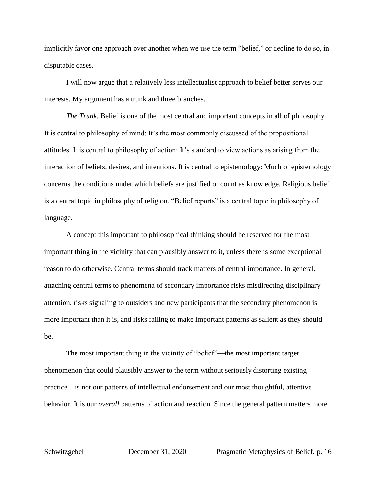implicitly favor one approach over another when we use the term "belief," or decline to do so, in disputable cases.

I will now argue that a relatively less intellectualist approach to belief better serves our interests. My argument has a trunk and three branches.

*The Trunk.* Belief is one of the most central and important concepts in all of philosophy. It is central to philosophy of mind: It's the most commonly discussed of the propositional attitudes. It is central to philosophy of action: It's standard to view actions as arising from the interaction of beliefs, desires, and intentions. It is central to epistemology: Much of epistemology concerns the conditions under which beliefs are justified or count as knowledge. Religious belief is a central topic in philosophy of religion. "Belief reports" is a central topic in philosophy of language.

A concept this important to philosophical thinking should be reserved for the most important thing in the vicinity that can plausibly answer to it, unless there is some exceptional reason to do otherwise. Central terms should track matters of central importance. In general, attaching central terms to phenomena of secondary importance risks misdirecting disciplinary attention, risks signaling to outsiders and new participants that the secondary phenomenon is more important than it is, and risks failing to make important patterns as salient as they should be.

The most important thing in the vicinity of "belief"—the most important target phenomenon that could plausibly answer to the term without seriously distorting existing practice—is not our patterns of intellectual endorsement and our most thoughtful, attentive behavior. It is our *overall* patterns of action and reaction. Since the general pattern matters more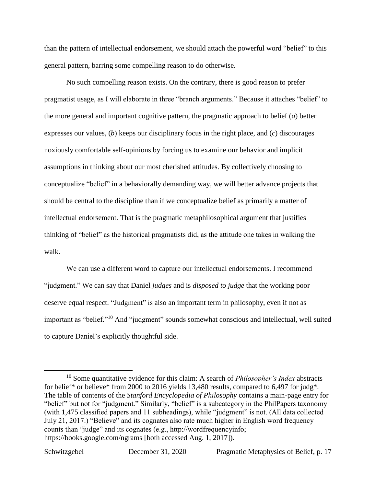than the pattern of intellectual endorsement, we should attach the powerful word "belief" to this general pattern, barring some compelling reason to do otherwise.

No such compelling reason exists. On the contrary, there is good reason to prefer pragmatist usage, as I will elaborate in three "branch arguments." Because it attaches "belief" to the more general and important cognitive pattern, the pragmatic approach to belief (*a*) better expresses our values, (*b*) keeps our disciplinary focus in the right place, and (*c*) discourages noxiously comfortable self-opinions by forcing us to examine our behavior and implicit assumptions in thinking about our most cherished attitudes. By collectively choosing to conceptualize "belief" in a behaviorally demanding way, we will better advance projects that should be central to the discipline than if we conceptualize belief as primarily a matter of intellectual endorsement. That is the pragmatic metaphilosophical argument that justifies thinking of "belief" as the historical pragmatists did, as the attitude one takes in walking the walk.

We can use a different word to capture our intellectual endorsements. I recommend "judgment." We can say that Daniel *judges* and is *disposed to judge* that the working poor deserve equal respect. "Judgment" is also an important term in philosophy, even if not as important as "belief."<sup>10</sup> And "judgment" sounds somewhat conscious and intellectual, well suited to capture Daniel's explicitly thoughtful side.

<sup>10</sup> Some quantitative evidence for this claim: A search of *Philosopher's Index* abstracts for belief\* or believe\* from 2000 to 2016 yields 13,480 results, compared to 6,497 for judg\*. The table of contents of the *Stanford Encyclopedia of Philosophy* contains a main-page entry for "belief" but not for "judgment." Similarly, "belief" is a subcategory in the PhilPapers taxonomy (with 1,475 classified papers and 11 subheadings), while "judgment" is not. (All data collected July 21, 2017.) "Believe" and its cognates also rate much higher in English word frequency counts than "judge" and its cognates (e.g., http://wordfrequencyinfo; https://books.google.com/ngrams [both accessed Aug. 1, 2017]).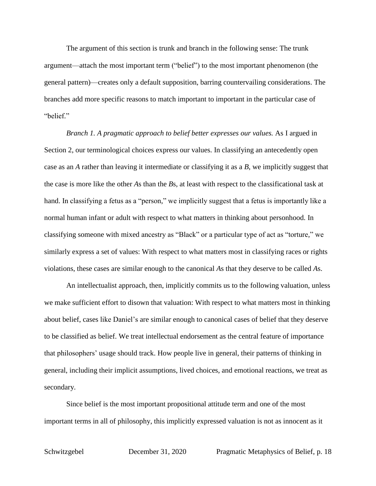The argument of this section is trunk and branch in the following sense: The trunk argument—attach the most important term ("belief") to the most important phenomenon (the general pattern)—creates only a default supposition, barring countervailing considerations. The branches add more specific reasons to match important to important in the particular case of "belief."

*Branch 1. A pragmatic approach to belief better expresses our values.* As I argued in Section 2, our terminological choices express our values. In classifying an antecedently open case as an *A* rather than leaving it intermediate or classifying it as a *B*, we implicitly suggest that the case is more like the other *A*s than the *B*s, at least with respect to the classificational task at hand. In classifying a fetus as a "person," we implicitly suggest that a fetus is importantly like a normal human infant or adult with respect to what matters in thinking about personhood. In classifying someone with mixed ancestry as "Black" or a particular type of act as "torture," we similarly express a set of values: With respect to what matters most in classifying races or rights violations, these cases are similar enough to the canonical *A*s that they deserve to be called *A*s.

An intellectualist approach, then, implicitly commits us to the following valuation, unless we make sufficient effort to disown that valuation: With respect to what matters most in thinking about belief, cases like Daniel's are similar enough to canonical cases of belief that they deserve to be classified as belief. We treat intellectual endorsement as the central feature of importance that philosophers' usage should track. How people live in general, their patterns of thinking in general, including their implicit assumptions, lived choices, and emotional reactions, we treat as secondary.

Since belief is the most important propositional attitude term and one of the most important terms in all of philosophy, this implicitly expressed valuation is not as innocent as it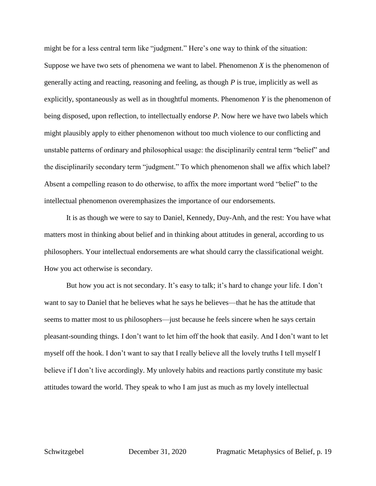might be for a less central term like "judgment." Here's one way to think of the situation: Suppose we have two sets of phenomena we want to label. Phenomenon *X* is the phenomenon of generally acting and reacting, reasoning and feeling, as though *P* is true, implicitly as well as explicitly, spontaneously as well as in thoughtful moments. Phenomenon *Y* is the phenomenon of being disposed, upon reflection, to intellectually endorse *P*. Now here we have two labels which might plausibly apply to either phenomenon without too much violence to our conflicting and unstable patterns of ordinary and philosophical usage: the disciplinarily central term "belief" and the disciplinarily secondary term "judgment." To which phenomenon shall we affix which label? Absent a compelling reason to do otherwise, to affix the more important word "belief" to the intellectual phenomenon overemphasizes the importance of our endorsements.

It is as though we were to say to Daniel, Kennedy, Duy-Anh, and the rest: You have what matters most in thinking about belief and in thinking about attitudes in general, according to us philosophers. Your intellectual endorsements are what should carry the classificational weight. How you act otherwise is secondary.

But how you act is not secondary. It's easy to talk; it's hard to change your life. I don't want to say to Daniel that he believes what he says he believes—that he has the attitude that seems to matter most to us philosophers—just because he feels sincere when he says certain pleasant-sounding things. I don't want to let him off the hook that easily. And I don't want to let myself off the hook. I don't want to say that I really believe all the lovely truths I tell myself I believe if I don't live accordingly. My unlovely habits and reactions partly constitute my basic attitudes toward the world. They speak to who I am just as much as my lovely intellectual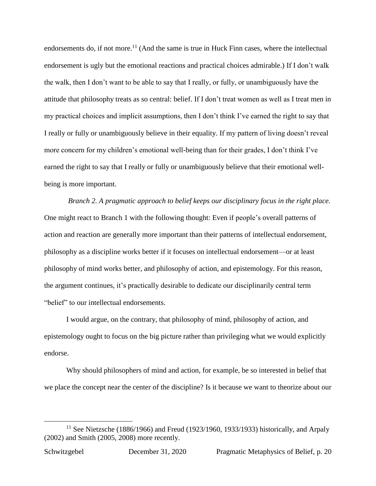endorsements do, if not more.<sup>11</sup> (And the same is true in Huck Finn cases, where the intellectual endorsement is ugly but the emotional reactions and practical choices admirable.) If I don't walk the walk, then I don't want to be able to say that I really, or fully, or unambiguously have the attitude that philosophy treats as so central: belief. If I don't treat women as well as I treat men in my practical choices and implicit assumptions, then I don't think I've earned the right to say that I really or fully or unambiguously believe in their equality. If my pattern of living doesn't reveal more concern for my children's emotional well-being than for their grades, I don't think I've earned the right to say that I really or fully or unambiguously believe that their emotional wellbeing is more important.

*Branch 2. A pragmatic approach to belief keeps our disciplinary focus in the right place.* One might react to Branch 1 with the following thought: Even if people's overall patterns of action and reaction are generally more important than their patterns of intellectual endorsement, philosophy as a discipline works better if it focuses on intellectual endorsement—or at least philosophy of mind works better, and philosophy of action, and epistemology. For this reason, the argument continues, it's practically desirable to dedicate our disciplinarily central term "belief" to our intellectual endorsements.

I would argue, on the contrary, that philosophy of mind, philosophy of action, and epistemology ought to focus on the big picture rather than privileging what we would explicitly endorse.

Why should philosophers of mind and action, for example, be so interested in belief that we place the concept near the center of the discipline? Is it because we want to theorize about our

<sup>&</sup>lt;sup>11</sup> See Nietzsche (1886/1966) and Freud (1923/1960, 1933/1933) historically, and Arpaly (2002) and Smith (2005, 2008) more recently.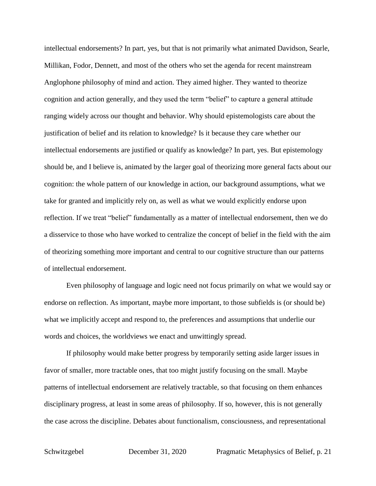intellectual endorsements? In part, yes, but that is not primarily what animated Davidson, Searle, Millikan, Fodor, Dennett, and most of the others who set the agenda for recent mainstream Anglophone philosophy of mind and action. They aimed higher. They wanted to theorize cognition and action generally, and they used the term "belief" to capture a general attitude ranging widely across our thought and behavior. Why should epistemologists care about the justification of belief and its relation to knowledge? Is it because they care whether our intellectual endorsements are justified or qualify as knowledge? In part, yes. But epistemology should be, and I believe is, animated by the larger goal of theorizing more general facts about our cognition: the whole pattern of our knowledge in action, our background assumptions, what we take for granted and implicitly rely on, as well as what we would explicitly endorse upon reflection. If we treat "belief" fundamentally as a matter of intellectual endorsement, then we do a disservice to those who have worked to centralize the concept of belief in the field with the aim of theorizing something more important and central to our cognitive structure than our patterns of intellectual endorsement.

Even philosophy of language and logic need not focus primarily on what we would say or endorse on reflection. As important, maybe more important, to those subfields is (or should be) what we implicitly accept and respond to, the preferences and assumptions that underlie our words and choices, the worldviews we enact and unwittingly spread.

If philosophy would make better progress by temporarily setting aside larger issues in favor of smaller, more tractable ones, that too might justify focusing on the small. Maybe patterns of intellectual endorsement are relatively tractable, so that focusing on them enhances disciplinary progress, at least in some areas of philosophy. If so, however, this is not generally the case across the discipline. Debates about functionalism, consciousness, and representational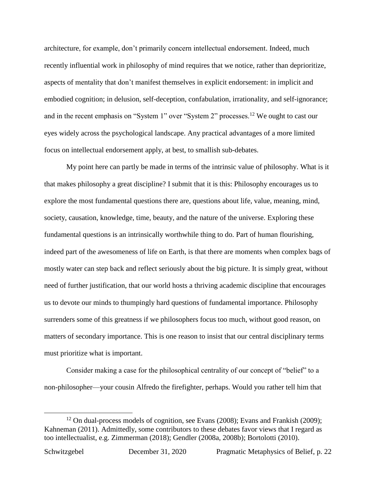architecture, for example, don't primarily concern intellectual endorsement. Indeed, much recently influential work in philosophy of mind requires that we notice, rather than deprioritize, aspects of mentality that don't manifest themselves in explicit endorsement: in implicit and embodied cognition; in delusion, self-deception, confabulation, irrationality, and self-ignorance; and in the recent emphasis on "System 1" over "System 2" processes.<sup>12</sup> We ought to cast our eyes widely across the psychological landscape. Any practical advantages of a more limited focus on intellectual endorsement apply, at best, to smallish sub-debates.

My point here can partly be made in terms of the intrinsic value of philosophy. What is it that makes philosophy a great discipline? I submit that it is this: Philosophy encourages us to explore the most fundamental questions there are, questions about life, value, meaning, mind, society, causation, knowledge, time, beauty, and the nature of the universe. Exploring these fundamental questions is an intrinsically worthwhile thing to do. Part of human flourishing, indeed part of the awesomeness of life on Earth, is that there are moments when complex bags of mostly water can step back and reflect seriously about the big picture. It is simply great, without need of further justification, that our world hosts a thriving academic discipline that encourages us to devote our minds to thumpingly hard questions of fundamental importance. Philosophy surrenders some of this greatness if we philosophers focus too much, without good reason, on matters of secondary importance. This is one reason to insist that our central disciplinary terms must prioritize what is important.

Consider making a case for the philosophical centrality of our concept of "belief" to a non-philosopher—your cousin Alfredo the firefighter, perhaps. Would you rather tell him that

 $12$  On dual-process models of cognition, see Evans (2008); Evans and Frankish (2009); Kahneman (2011). Admittedly, some contributors to these debates favor views that I regard as too intellectualist, e.g. Zimmerman (2018); Gendler (2008a, 2008b); Bortolotti (2010).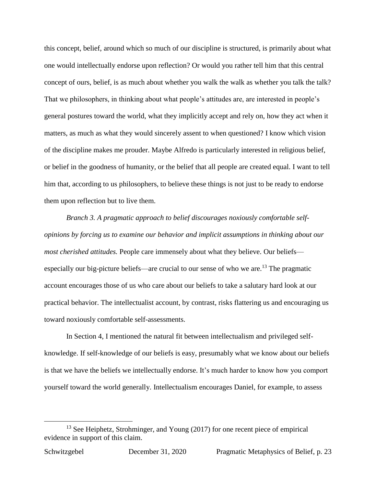this concept, belief, around which so much of our discipline is structured, is primarily about what one would intellectually endorse upon reflection? Or would you rather tell him that this central concept of ours, belief, is as much about whether you walk the walk as whether you talk the talk? That we philosophers, in thinking about what people's attitudes are, are interested in people's general postures toward the world, what they implicitly accept and rely on, how they act when it matters, as much as what they would sincerely assent to when questioned? I know which vision of the discipline makes me prouder. Maybe Alfredo is particularly interested in religious belief, or belief in the goodness of humanity, or the belief that all people are created equal. I want to tell him that, according to us philosophers, to believe these things is not just to be ready to endorse them upon reflection but to live them.

*Branch 3. A pragmatic approach to belief discourages noxiously comfortable selfopinions by forcing us to examine our behavior and implicit assumptions in thinking about our most cherished attitudes*. People care immensely about what they believe. Our beliefs especially our big-picture beliefs—are crucial to our sense of who we are.<sup>13</sup> The pragmatic account encourages those of us who care about our beliefs to take a salutary hard look at our practical behavior. The intellectualist account, by contrast, risks flattering us and encouraging us toward noxiously comfortable self-assessments.

In Section 4, I mentioned the natural fit between intellectualism and privileged selfknowledge. If self-knowledge of our beliefs is easy, presumably what we know about our beliefs is that we have the beliefs we intellectually endorse. It's much harder to know how you comport yourself toward the world generally. Intellectualism encourages Daniel, for example, to assess

<sup>&</sup>lt;sup>13</sup> See Heiphetz, Strohminger, and Young (2017) for one recent piece of empirical evidence in support of this claim.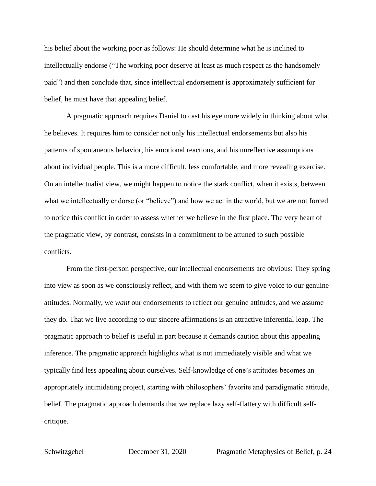his belief about the working poor as follows: He should determine what he is inclined to intellectually endorse ("The working poor deserve at least as much respect as the handsomely paid") and then conclude that, since intellectual endorsement is approximately sufficient for belief, he must have that appealing belief.

A pragmatic approach requires Daniel to cast his eye more widely in thinking about what he believes. It requires him to consider not only his intellectual endorsements but also his patterns of spontaneous behavior, his emotional reactions, and his unreflective assumptions about individual people. This is a more difficult, less comfortable, and more revealing exercise. On an intellectualist view, we might happen to notice the stark conflict, when it exists, between what we intellectually endorse (or "believe") and how we act in the world, but we are not forced to notice this conflict in order to assess whether we believe in the first place. The very heart of the pragmatic view, by contrast, consists in a commitment to be attuned to such possible conflicts.

From the first-person perspective, our intellectual endorsements are obvious: They spring into view as soon as we consciously reflect, and with them we seem to give voice to our genuine attitudes. Normally, we *want* our endorsements to reflect our genuine attitudes, and we assume they do. That we live according to our sincere affirmations is an attractive inferential leap. The pragmatic approach to belief is useful in part because it demands caution about this appealing inference. The pragmatic approach highlights what is not immediately visible and what we typically find less appealing about ourselves. Self-knowledge of one's attitudes becomes an appropriately intimidating project, starting with philosophers' favorite and paradigmatic attitude, belief. The pragmatic approach demands that we replace lazy self-flattery with difficult selfcritique.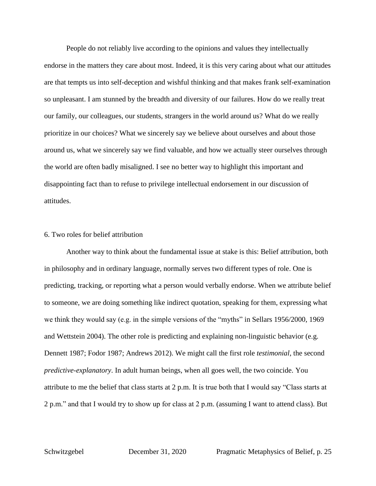People do not reliably live according to the opinions and values they intellectually endorse in the matters they care about most. Indeed, it is this very caring about what our attitudes are that tempts us into self-deception and wishful thinking and that makes frank self-examination so unpleasant. I am stunned by the breadth and diversity of our failures. How do we really treat our family, our colleagues, our students, strangers in the world around us? What do we really prioritize in our choices? What we sincerely say we believe about ourselves and about those around us, what we sincerely say we find valuable, and how we actually steer ourselves through the world are often badly misaligned. I see no better way to highlight this important and disappointing fact than to refuse to privilege intellectual endorsement in our discussion of attitudes.

## 6. Two roles for belief attribution

Another way to think about the fundamental issue at stake is this: Belief attribution, both in philosophy and in ordinary language, normally serves two different types of role. One is predicting, tracking, or reporting what a person would verbally endorse. When we attribute belief to someone, we are doing something like indirect quotation, speaking for them, expressing what we think they would say (e.g. in the simple versions of the "myths" in Sellars 1956/2000, 1969 and Wettstein 2004). The other role is predicting and explaining non-linguistic behavior (e.g. Dennett 1987; Fodor 1987; Andrews 2012). We might call the first role *testimonial*, the second *predictive-explanatory*. In adult human beings, when all goes well, the two coincide. You attribute to me the belief that class starts at 2 p.m. It is true both that I would say "Class starts at 2 p.m." and that I would try to show up for class at 2 p.m. (assuming I want to attend class). But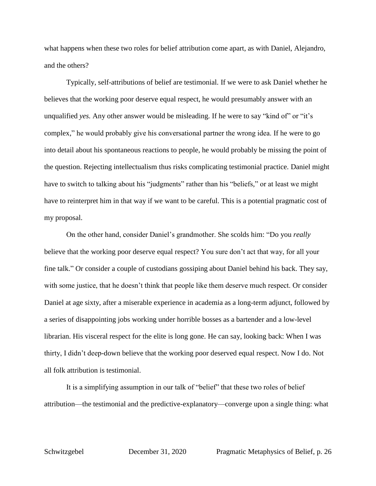what happens when these two roles for belief attribution come apart, as with Daniel, Alejandro, and the others?

Typically, self-attributions of belief are testimonial. If we were to ask Daniel whether he believes that the working poor deserve equal respect, he would presumably answer with an unqualified *yes.* Any other answer would be misleading. If he were to say "kind of" or "it's complex," he would probably give his conversational partner the wrong idea. If he were to go into detail about his spontaneous reactions to people, he would probably be missing the point of the question. Rejecting intellectualism thus risks complicating testimonial practice. Daniel might have to switch to talking about his "judgments" rather than his "beliefs," or at least we might have to reinterpret him in that way if we want to be careful. This is a potential pragmatic cost of my proposal.

On the other hand, consider Daniel's grandmother. She scolds him: "Do you *really*  believe that the working poor deserve equal respect? You sure don't act that way, for all your fine talk." Or consider a couple of custodians gossiping about Daniel behind his back. They say, with some justice, that he doesn't think that people like them deserve much respect. Or consider Daniel at age sixty, after a miserable experience in academia as a long-term adjunct, followed by a series of disappointing jobs working under horrible bosses as a bartender and a low-level librarian. His visceral respect for the elite is long gone. He can say, looking back: When I was thirty, I didn't deep-down believe that the working poor deserved equal respect. Now I do. Not all folk attribution is testimonial.

It is a simplifying assumption in our talk of "belief" that these two roles of belief attribution—the testimonial and the predictive-explanatory—converge upon a single thing: what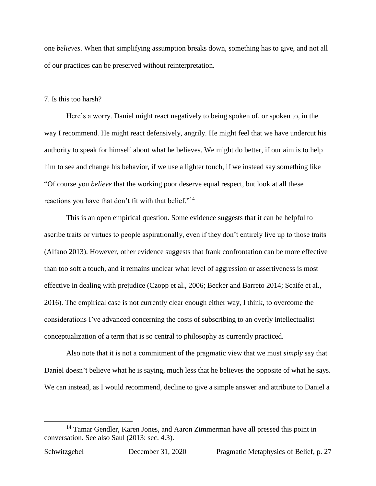one *believes*. When that simplifying assumption breaks down, something has to give, and not all of our practices can be preserved without reinterpretation.

### 7. Is this too harsh?

Here's a worry. Daniel might react negatively to being spoken of, or spoken to, in the way I recommend. He might react defensively, angrily. He might feel that we have undercut his authority to speak for himself about what he believes. We might do better, if our aim is to help him to see and change his behavior, if we use a lighter touch, if we instead say something like "Of course you *believe* that the working poor deserve equal respect, but look at all these reactions you have that don't fit with that belief."<sup>14</sup>

This is an open empirical question. Some evidence suggests that it can be helpful to ascribe traits or virtues to people aspirationally, even if they don't entirely live up to those traits (Alfano 2013). However, other evidence suggests that frank confrontation can be more effective than too soft a touch, and it remains unclear what level of aggression or assertiveness is most effective in dealing with prejudice (Czopp et al., 2006; Becker and Barreto 2014; Scaife et al., 2016). The empirical case is not currently clear enough either way, I think, to overcome the considerations I've advanced concerning the costs of subscribing to an overly intellectualist conceptualization of a term that is so central to philosophy as currently practiced.

Also note that it is not a commitment of the pragmatic view that we must *simply* say that Daniel doesn't believe what he is saying, much less that he believes the opposite of what he says. We can instead, as I would recommend, decline to give a simple answer and attribute to Daniel a

<sup>&</sup>lt;sup>14</sup> Tamar Gendler, Karen Jones, and Aaron Zimmerman have all pressed this point in conversation. See also Saul (2013: sec. 4.3).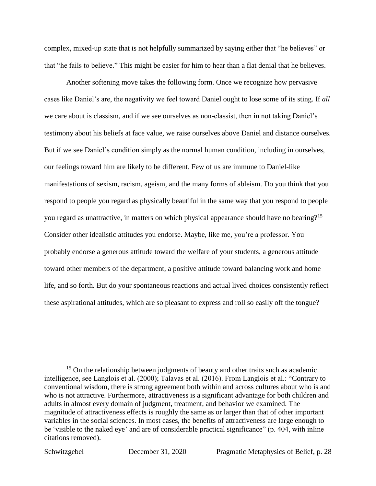complex, mixed-up state that is not helpfully summarized by saying either that "he believes" or that "he fails to believe." This might be easier for him to hear than a flat denial that he believes.

Another softening move takes the following form. Once we recognize how pervasive cases like Daniel's are, the negativity we feel toward Daniel ought to lose some of its sting. If *all*  we care about is classism, and if we see ourselves as non-classist, then in not taking Daniel's testimony about his beliefs at face value, we raise ourselves above Daniel and distance ourselves. But if we see Daniel's condition simply as the normal human condition, including in ourselves, our feelings toward him are likely to be different. Few of us are immune to Daniel-like manifestations of sexism, racism, ageism, and the many forms of ableism. Do you think that you respond to people you regard as physically beautiful in the same way that you respond to people you regard as unattractive, in matters on which physical appearance should have no bearing?<sup>15</sup> Consider other idealistic attitudes you endorse. Maybe, like me, you're a professor. You probably endorse a generous attitude toward the welfare of your students, a generous attitude toward other members of the department, a positive attitude toward balancing work and home life, and so forth. But do your spontaneous reactions and actual lived choices consistently reflect these aspirational attitudes, which are so pleasant to express and roll so easily off the tongue?

<sup>&</sup>lt;sup>15</sup> On the relationship between judgments of beauty and other traits such as academic intelligence, see Langlois et al. (2000); Talavas et al. (2016). From Langlois et al.: "Contrary to conventional wisdom, there is strong agreement both within and across cultures about who is and who is not attractive. Furthermore, attractiveness is a significant advantage for both children and adults in almost every domain of judgment, treatment, and behavior we examined. The magnitude of attractiveness effects is roughly the same as or larger than that of other important variables in the social sciences. In most cases, the benefits of attractiveness are large enough to be 'visible to the naked eye' and are of considerable practical significance" (p. 404, with inline citations removed).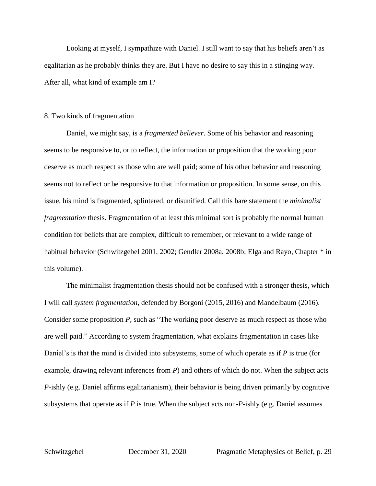Looking at myself, I sympathize with Daniel. I still want to say that his beliefs aren't as egalitarian as he probably thinks they are. But I have no desire to say this in a stinging way. After all, what kind of example am I?

## 8. Two kinds of fragmentation

Daniel, we might say, is a *fragmented believer*. Some of his behavior and reasoning seems to be responsive to, or to reflect, the information or proposition that the working poor deserve as much respect as those who are well paid; some of his other behavior and reasoning seems not to reflect or be responsive to that information or proposition. In some sense, on this issue, his mind is fragmented, splintered, or disunified. Call this bare statement the *minimalist fragmentation* thesis. Fragmentation of at least this minimal sort is probably the normal human condition for beliefs that are complex, difficult to remember, or relevant to a wide range of habitual behavior (Schwitzgebel 2001, 2002; Gendler 2008a, 2008b; Elga and Rayo, Chapter \* in this volume).

The minimalist fragmentation thesis should not be confused with a stronger thesis, which I will call *system fragmentation*, defended by Borgoni (2015, 2016) and Mandelbaum (2016). Consider some proposition *P*, such as "The working poor deserve as much respect as those who are well paid." According to system fragmentation, what explains fragmentation in cases like Daniel's is that the mind is divided into subsystems, some of which operate as if *P* is true (for example, drawing relevant inferences from *P*) and others of which do not. When the subject acts *P*-ishly (e.g. Daniel affirms egalitarianism), their behavior is being driven primarily by cognitive subsystems that operate as if *P* is true. When the subject acts non-*P*-ishly (e.g. Daniel assumes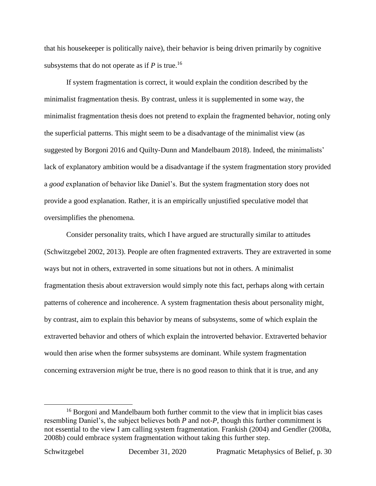that his housekeeper is politically naive), their behavior is being driven primarily by cognitive subsystems that do not operate as if *P* is true. 16

If system fragmentation is correct, it would explain the condition described by the minimalist fragmentation thesis. By contrast, unless it is supplemented in some way, the minimalist fragmentation thesis does not pretend to explain the fragmented behavior, noting only the superficial patterns. This might seem to be a disadvantage of the minimalist view (as suggested by Borgoni 2016 and Quilty-Dunn and Mandelbaum 2018). Indeed, the minimalists' lack of explanatory ambition would be a disadvantage if the system fragmentation story provided a *good* explanation of behavior like Daniel's. But the system fragmentation story does not provide a good explanation. Rather, it is an empirically unjustified speculative model that oversimplifies the phenomena.

Consider personality traits, which I have argued are structurally similar to attitudes (Schwitzgebel 2002, 2013). People are often fragmented extraverts. They are extraverted in some ways but not in others, extraverted in some situations but not in others. A minimalist fragmentation thesis about extraversion would simply note this fact, perhaps along with certain patterns of coherence and incoherence. A system fragmentation thesis about personality might, by contrast, aim to explain this behavior by means of subsystems, some of which explain the extraverted behavior and others of which explain the introverted behavior. Extraverted behavior would then arise when the former subsystems are dominant. While system fragmentation concerning extraversion *might* be true, there is no good reason to think that it is true, and any

<sup>&</sup>lt;sup>16</sup> Borgoni and Mandelbaum both further commit to the view that in implicit bias cases resembling Daniel's, the subject believes both *P* and not-*P*, though this further commitment is not essential to the view I am calling system fragmentation. Frankish (2004) and Gendler (2008a, 2008b) could embrace system fragmentation without taking this further step.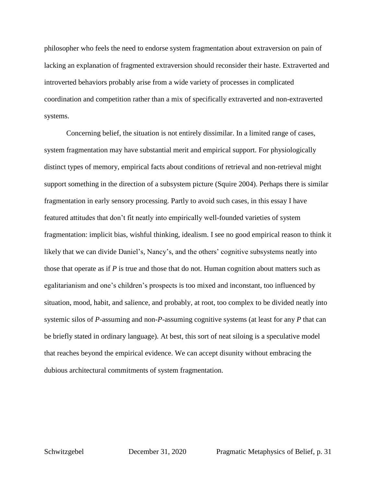philosopher who feels the need to endorse system fragmentation about extraversion on pain of lacking an explanation of fragmented extraversion should reconsider their haste. Extraverted and introverted behaviors probably arise from a wide variety of processes in complicated coordination and competition rather than a mix of specifically extraverted and non-extraverted systems.

Concerning belief, the situation is not entirely dissimilar. In a limited range of cases, system fragmentation may have substantial merit and empirical support. For physiologically distinct types of memory, empirical facts about conditions of retrieval and non-retrieval might support something in the direction of a subsystem picture (Squire 2004). Perhaps there is similar fragmentation in early sensory processing. Partly to avoid such cases, in this essay I have featured attitudes that don't fit neatly into empirically well-founded varieties of system fragmentation: implicit bias, wishful thinking, idealism. I see no good empirical reason to think it likely that we can divide Daniel's, Nancy's, and the others' cognitive subsystems neatly into those that operate as if *P* is true and those that do not. Human cognition about matters such as egalitarianism and one's children's prospects is too mixed and inconstant, too influenced by situation, mood, habit, and salience, and probably, at root, too complex to be divided neatly into systemic silos of *P*-assuming and non-*P*-assuming cognitive systems (at least for any *P* that can be briefly stated in ordinary language). At best, this sort of neat siloing is a speculative model that reaches beyond the empirical evidence. We can accept disunity without embracing the dubious architectural commitments of system fragmentation.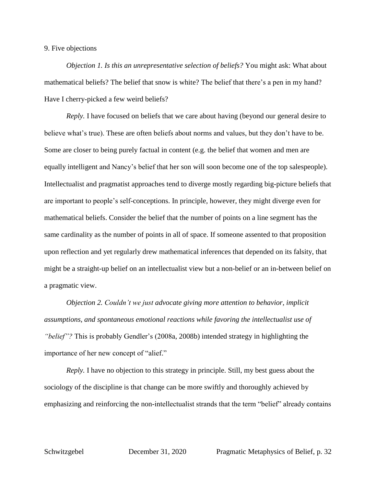## 9. Five objections

*Objection 1. Is this an unrepresentative selection of beliefs?* You might ask: What about mathematical beliefs? The belief that snow is white? The belief that there's a pen in my hand? Have I cherry-picked a few weird beliefs?

*Reply.* I have focused on beliefs that we care about having (beyond our general desire to believe what's true). These are often beliefs about norms and values, but they don't have to be. Some are closer to being purely factual in content (e.g. the belief that women and men are equally intelligent and Nancy's belief that her son will soon become one of the top salespeople). Intellectualist and pragmatist approaches tend to diverge mostly regarding big-picture beliefs that are important to people's self-conceptions. In principle, however, they might diverge even for mathematical beliefs. Consider the belief that the number of points on a line segment has the same cardinality as the number of points in all of space. If someone assented to that proposition upon reflection and yet regularly drew mathematical inferences that depended on its falsity, that might be a straight-up belief on an intellectualist view but a non-belief or an in-between belief on a pragmatic view.

*Objection 2. Couldn't we just advocate giving more attention to behavior, implicit assumptions, and spontaneous emotional reactions while favoring the intellectualist use of "belief"?* This is probably Gendler's (2008a, 2008b) intended strategy in highlighting the importance of her new concept of "alief."

*Reply.* I have no objection to this strategy in principle. Still, my best guess about the sociology of the discipline is that change can be more swiftly and thoroughly achieved by emphasizing and reinforcing the non-intellectualist strands that the term "belief" already contains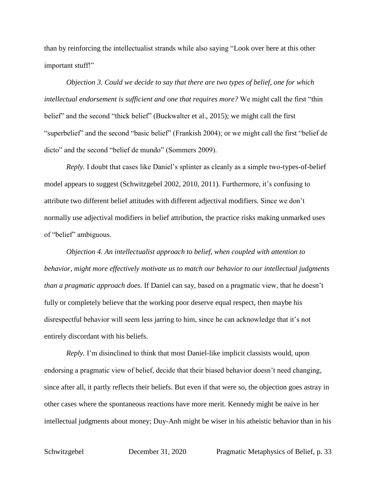than by reinforcing the intellectualist strands while also saying "Look over here at this other important stuff!"

*Objection 3. Could we decide to say that there are two types of belief, one for which intellectual endorsement is sufficient and one that requires more?* We might call the first "thin belief" and the second "thick belief" (Buckwalter et al., 2015); we might call the first "superbelief" and the second "basic belief" (Frankish 2004); or we might call the first "belief de dicto" and the second "belief de mundo" (Sommers 2009).

*Reply.* I doubt that cases like Daniel's splinter as cleanly as a simple two-types-of-belief model appears to suggest (Schwitzgebel 2002, 2010, 2011). Furthermore, it's confusing to attribute two different belief attitudes with different adjectival modifiers. Since we don't normally use adjectival modifiers in belief attribution, the practice risks making unmarked uses of "belief" ambiguous.

*Objection 4. An intellectualist approach to belief, when coupled with attention to behavior, might more effectively motivate us to match our behavior to our intellectual judgments than a pragmatic approach does.* If Daniel can say, based on a pragmatic view, that he doesn't fully or completely believe that the working poor deserve equal respect, then maybe his disrespectful behavior will seem less jarring to him, since he can acknowledge that it's not entirely discordant with his beliefs.

*Reply.* I'm disinclined to think that most Daniel-like implicit classists would, upon endorsing a pragmatic view of belief, decide that their biased behavior doesn't need changing, since after all, it partly reflects their beliefs. But even if that were so, the objection goes astray in other cases where the spontaneous reactions have more merit. Kennedy might be naive in her intellectual judgments about money; Duy-Anh might be wiser in his atheistic behavior than in his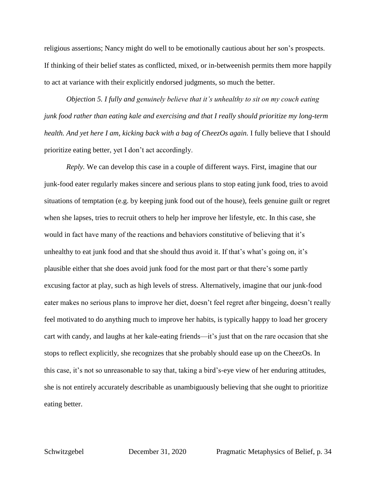religious assertions; Nancy might do well to be emotionally cautious about her son's prospects. If thinking of their belief states as conflicted, mixed, or in-betweenish permits them more happily to act at variance with their explicitly endorsed judgments, so much the better.

*Objection 5. I fully and genuinely believe that it's unhealthy to sit on my couch eating junk food rather than eating kale and exercising and that I really should prioritize my long-term health. And yet here I am, kicking back with a bag of CheezOs again.* I fully believe that I should prioritize eating better, yet I don't act accordingly.

*Reply.* We can develop this case in a couple of different ways. First, imagine that our junk-food eater regularly makes sincere and serious plans to stop eating junk food, tries to avoid situations of temptation (e.g. by keeping junk food out of the house), feels genuine guilt or regret when she lapses, tries to recruit others to help her improve her lifestyle, etc. In this case, she would in fact have many of the reactions and behaviors constitutive of believing that it's unhealthy to eat junk food and that she should thus avoid it. If that's what's going on, it's plausible either that she does avoid junk food for the most part or that there's some partly excusing factor at play, such as high levels of stress. Alternatively, imagine that our junk-food eater makes no serious plans to improve her diet, doesn't feel regret after bingeing, doesn't really feel motivated to do anything much to improve her habits, is typically happy to load her grocery cart with candy, and laughs at her kale-eating friends—it's just that on the rare occasion that she stops to reflect explicitly, she recognizes that she probably should ease up on the CheezOs. In this case, it's not so unreasonable to say that, taking a bird's-eye view of her enduring attitudes, she is not entirely accurately describable as unambiguously believing that she ought to prioritize eating better.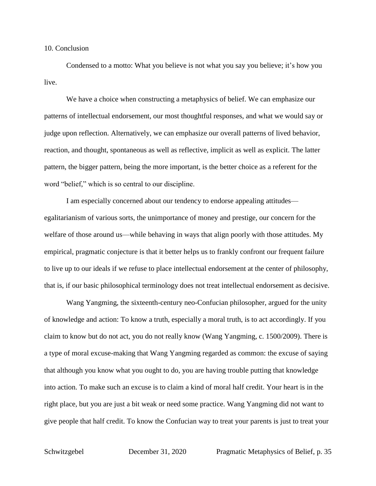#### 10. Conclusion

Condensed to a motto: What you believe is not what you say you believe; it's how you live.

We have a choice when constructing a metaphysics of belief. We can emphasize our patterns of intellectual endorsement, our most thoughtful responses, and what we would say or judge upon reflection. Alternatively, we can emphasize our overall patterns of lived behavior, reaction, and thought, spontaneous as well as reflective, implicit as well as explicit. The latter pattern, the bigger pattern, being the more important, is the better choice as a referent for the word "belief," which is so central to our discipline.

I am especially concerned about our tendency to endorse appealing attitudes egalitarianism of various sorts, the unimportance of money and prestige, our concern for the welfare of those around us—while behaving in ways that align poorly with those attitudes. My empirical, pragmatic conjecture is that it better helps us to frankly confront our frequent failure to live up to our ideals if we refuse to place intellectual endorsement at the center of philosophy, that is, if our basic philosophical terminology does not treat intellectual endorsement as decisive.

Wang Yangming, the sixteenth-century neo-Confucian philosopher, argued for the unity of knowledge and action: To know a truth, especially a moral truth, is to act accordingly. If you claim to know but do not act, you do not really know (Wang Yangming, c. 1500/2009). There is a type of moral excuse-making that Wang Yangming regarded as common: the excuse of saying that although you know what you ought to do, you are having trouble putting that knowledge into action. To make such an excuse is to claim a kind of moral half credit. Your heart is in the right place, but you are just a bit weak or need some practice. Wang Yangming did not want to give people that half credit. To know the Confucian way to treat your parents is just to treat your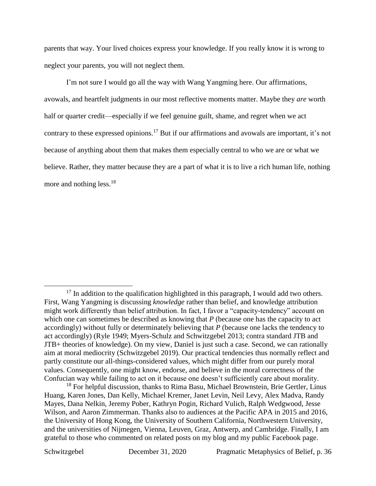parents that way. Your lived choices express your knowledge. If you really know it is wrong to neglect your parents, you will not neglect them.

I'm not sure I would go all the way with Wang Yangming here. Our affirmations, avowals, and heartfelt judgments in our most reflective moments matter. Maybe they *are* worth half or quarter credit—especially if we feel genuine guilt, shame, and regret when we act contrary to these expressed opinions.<sup>17</sup> But if our affirmations and avowals are important, it's not because of anything about them that makes them especially central to who we are or what we believe. Rather, they matter because they are a part of what it is to live a rich human life, nothing more and nothing less.<sup>18</sup>

 $\overline{a}$  $17$  In addition to the qualification highlighted in this paragraph, I would add two others. First, Wang Yangming is discussing *knowledge* rather than belief, and knowledge attribution might work differently than belief attribution. In fact, I favor a "capacity-tendency" account on which one can sometimes be described as knowing that *P* (because one has the capacity to act accordingly) without fully or determinately believing that *P* (because one lacks the tendency to act accordingly) (Ryle 1949; Myers-Schulz and Schwitzgebel 2013; contra standard JTB and JTB+ theories of knowledge). On my view, Daniel is just such a case. Second, we can rationally aim at moral mediocrity (Schwitzgebel 2019). Our practical tendencies thus normally reflect and partly constitute our all-things-considered values, which might differ from our purely moral values. Consequently, one might know, endorse, and believe in the moral correctness of the Confucian way while failing to act on it because one doesn't sufficiently care about morality.

<sup>&</sup>lt;sup>18</sup> For helpful discussion, thanks to Rima Basu, Michael Brownstein, Brie Gertler, Linus Huang, Karen Jones, Dan Kelly, Michael Kremer, Janet Levin, Neil Levy, Alex Madva, Randy Mayes, Dana Nelkin, Jeremy Pober, Kathryn Pogin, Richard Vulich, Ralph Wedgwood, Jesse Wilson, and Aaron Zimmerman. Thanks also to audiences at the Pacific APA in 2015 and 2016, the University of Hong Kong, the University of Southern California, Northwestern University, and the universities of Nijmegen, Vienna, Leuven, Graz, Antwerp, and Cambridge. Finally, I am grateful to those who commented on related posts on my blog and my public Facebook page.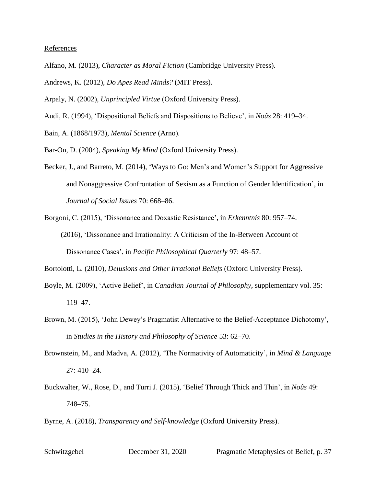#### References

- Alfano, M. (2013), *Character as Moral Fiction* (Cambridge University Press).
- Andrews, K. (2012), *Do Apes Read Minds?* (MIT Press).
- Arpaly, N. (2002), *Unprincipled Virtue* (Oxford University Press).
- Audi, R. (1994), 'Dispositional Beliefs and Dispositions to Believe', in *Noûs* 28: 419–34.
- Bain, A. (1868/1973), *Mental Science* (Arno).
- Bar-On, D. (2004), *Speaking My Mind* (Oxford University Press).
- Becker, J., and Barreto, M. (2014), 'Ways to Go: Men's and Women's Support for Aggressive and Nonaggressive Confrontation of Sexism as a Function of Gender Identification', in *Journal of Social Issues* 70: 668–86.
- Borgoni, C. (2015), 'Dissonance and Doxastic Resistance', in *Erkenntnis* 80: 957–74.
- —— (2016), 'Dissonance and Irrationality: A Criticism of the In-Between Account of Dissonance Cases', in *Pacific Philosophical Quarterly* 97: 48–57.
- Bortolotti, L. (2010), *Delusions and Other Irrational Beliefs* (Oxford University Press).
- Boyle, M. (2009), 'Active Belief', in *Canadian Journal of Philosophy*, supplementary vol. 35: 119–47.
- Brown, M. (2015), 'John Dewey's Pragmatist Alternative to the Belief-Acceptance Dichotomy', in *Studies in the History and Philosophy of Science* 53: 62–70.
- Brownstein, M., and Madva, A. (2012), 'The Normativity of Automaticity', in *Mind & Language*  27: 410–24.
- Buckwalter, W., Rose, D., and Turri J. (2015), 'Belief Through Thick and Thin', in *Noûs* 49: 748–75.
- Byrne, A. (2018), *Transparency and Self-knowledge* (Oxford University Press).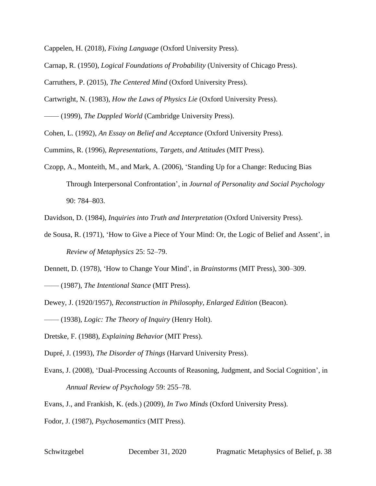Cappelen, H. (2018), *Fixing Language* (Oxford University Press).

- Carnap, R. (1950), *Logical Foundations of Probability* (University of Chicago Press).
- Carruthers, P. (2015), *The Centered Mind* (Oxford University Press).

Cartwright, N. (1983), *How the Laws of Physics Lie* (Oxford University Press).

—— (1999), *The Dappled World* (Cambridge University Press).

Cohen, L. (1992), *An Essay on Belief and Acceptance* (Oxford University Press).

Cummins, R. (1996), *Representations, Targets, and Attitudes* (MIT Press).

Czopp, A., Monteith, M., and Mark, A. (2006), 'Standing Up for a Change: Reducing Bias Through Interpersonal Confrontation', in *Journal of Personality and Social Psychology* 90: 784–803.

Davidson, D. (1984), *Inquiries into Truth and Interpretation* (Oxford University Press).

de Sousa, R. (1971), 'How to Give a Piece of Your Mind: Or, the Logic of Belief and Assent', in *Review of Metaphysics* 25: 52–79.

Dennett, D. (1978), 'How to Change Your Mind', in *Brainstorms* (MIT Press), 300–309.

—— (1987), *The Intentional Stance* (MIT Press).

Dewey, J. (1920/1957), *Reconstruction in Philosophy, Enlarged Edition* (Beacon).

—— (1938), *Logic: The Theory of Inquiry* (Henry Holt).

Dretske, F. (1988), *Explaining Behavior* (MIT Press).

Dupré, J. (1993), *The Disorder of Things* (Harvard University Press).

Evans, J. (2008), 'Dual-Processing Accounts of Reasoning, Judgment, and Social Cognition', in *Annual Review of Psychology* 59: 255–78.

Evans, J., and Frankish, K. (eds.) (2009), *In Two Minds* (Oxford University Press).

Fodor, J. (1987), *Psychosemantics* (MIT Press).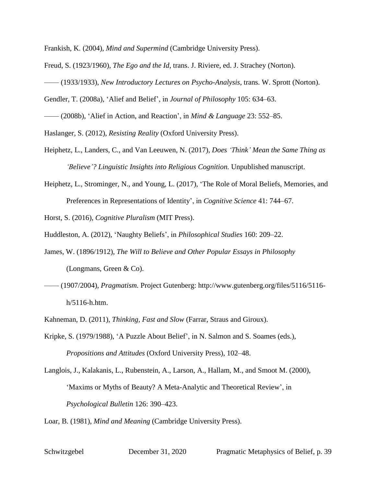Frankish, K. (2004), *Mind and Supermind* (Cambridge University Press).

- Freud, S. (1923/1960), *The Ego and the Id*, trans. J. Riviere, ed. J. Strachey (Norton).
- —— (1933/1933), *New Introductory Lectures on Psycho-Analysis*, trans. W. Sprott (Norton).
- Gendler, T. (2008a), 'Alief and Belief', in *Journal of Philosophy* 105: 634–63.
- —— (2008b), 'Alief in Action, and Reaction', in *Mind & Language* 23: 552–85.

Haslanger, S. (2012), *Resisting Reality* (Oxford University Press).

- Heiphetz, L., Landers, C., and Van Leeuwen, N. (2017), *Does 'Think' Mean the Same Thing as 'Believe'? Linguistic Insights into Religious Cognition.* Unpublished manuscript.
- Heiphetz, L., Strominger, N., and Young, L. (2017), 'The Role of Moral Beliefs, Memories, and Preferences in Representations of Identity', in *Cognitive Science* 41: 744–67.

Horst, S. (2016), *Cognitive Pluralism* (MIT Press).

- Huddleston, A. (2012), 'Naughty Beliefs', in *Philosophical Studies* 160: 209–22.
- James, W. (1896/1912), *The Will to Believe and Other Popular Essays in Philosophy* (Longmans, Green & Co).
- —— (1907/2004), *Pragmatism.* Project Gutenberg: http://www.gutenberg.org/files/5116/5116 h/5116-h.htm.
- Kahneman, D. (2011), *Thinking, Fast and Slow* (Farrar, Straus and Giroux).
- Kripke, S. (1979/1988), 'A Puzzle About Belief', in N. Salmon and S. Soames (eds.), *Propositions and Attitudes* (Oxford University Press), 102–48.
- Langlois, J., Kalakanis, L., Rubenstein, A., Larson, A., Hallam, M., and Smoot M. (2000), 'Maxims or Myths of Beauty? A Meta-Analytic and Theoretical Review', in *Psychological Bulletin* 126: 390–423.

Loar, B. (1981), *Mind and Meaning* (Cambridge University Press).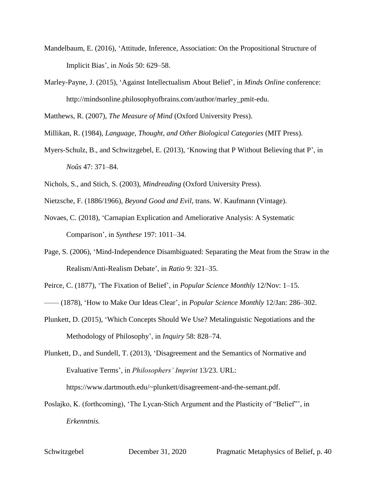- Mandelbaum, E. (2016), 'Attitude, Inference, Association: On the Propositional Structure of Implicit Bias', in *Noûs* 50: 629–58.
- Marley-Payne, J. (2015), 'Against Intellectualism About Belief', in *Minds Online* conference: http://mindsonline.philosophyofbrains.com/author/marley\_pmit-edu.

Matthews, R. (2007), *The Measure of Mind* (Oxford University Press).

Millikan, R. (1984), *Language, Thought, and Other Biological Categories* (MIT Press).

- Myers-Schulz, B., and Schwitzgebel, E. (2013), 'Knowing that P Without Believing that P', in *Noûs* 47: 371–84.
- Nichols, S., and Stich, S. (2003), *Mindreading* (Oxford University Press).
- Nietzsche, F. (1886/1966), *Beyond Good and Evil*, trans. W. Kaufmann (Vintage).
- Novaes, C. (2018), 'Carnapian Explication and Ameliorative Analysis: A Systematic Comparison', in *Synthese* 197: 1011–34.
- Page, S. (2006), 'Mind-Independence Disambiguated: Separating the Meat from the Straw in the Realism/Anti-Realism Debate', in *Ratio* 9: 321–35.
- Peirce, C. (1877), 'The Fixation of Belief', in *Popular Science Monthly* 12/Nov: 1–15.
- —— (1878), 'How to Make Our Ideas Clear', in *Popular Science Monthly* 12/Jan: 286–302.
- Plunkett, D. (2015), 'Which Concepts Should We Use? Metalinguistic Negotiations and the Methodology of Philosophy', in *Inquiry* 58: 828–74.
- Plunkett, D., and Sundell, T. (2013), 'Disagreement and the Semantics of Normative and Evaluative Terms', in *Philosophers' Imprint* 13/23. URL:

https://www.dartmouth.edu/~plunkett/disagreement-and-the-semant.pdf.

Poslajko, K. (forthcoming), 'The Lycan-Stich Argument and the Plasticity of "Belief"', in *Erkenntnis.*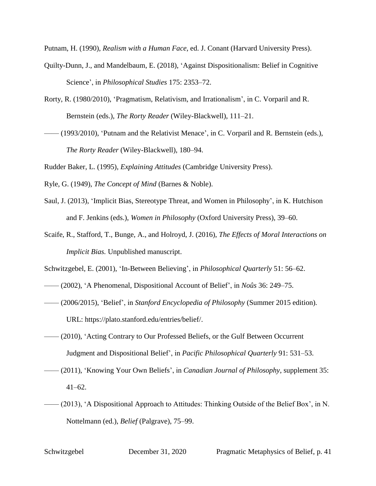Putnam, H. (1990), *Realism with a Human Face*, ed. J. Conant (Harvard University Press).

- Quilty-Dunn, J., and Mandelbaum, E. (2018), 'Against Dispositionalism: Belief in Cognitive Science', in *Philosophical Studies* 175: 2353–72.
- Rorty, R. (1980/2010), 'Pragmatism, Relativism, and Irrationalism', in C. Vorparil and R. Bernstein (eds.), *The Rorty Reader* (Wiley-Blackwell), 111–21.
- —— (1993/2010), 'Putnam and the Relativist Menace', in C. Vorparil and R. Bernstein (eds.), *The Rorty Reader* (Wiley-Blackwell), 180–94.

Rudder Baker, L. (1995), *Explaining Attitudes* (Cambridge University Press).

- Ryle, G. (1949), *The Concept of Mind* (Barnes & Noble).
- Saul, J. (2013), 'Implicit Bias, Stereotype Threat, and Women in Philosophy', in K. Hutchison and F. Jenkins (eds.), *Women in Philosophy* (Oxford University Press), 39–60.
- Scaife, R., Stafford, T., Bunge, A., and Holroyd, J. (2016), *The Effects of Moral Interactions on Implicit Bias.* Unpublished manuscript.
- Schwitzgebel, E. (2001), 'In-Between Believing', in *Philosophical Quarterly* 51: 56–62.
- —— (2002), 'A Phenomenal, Dispositional Account of Belief', in *Noûs* 36: 249–75.
- —— (2006/2015), 'Belief', in *Stanford Encyclopedia of Philosophy* (Summer 2015 edition)*.* URL: https://plato.stanford.edu/entries/belief/.
- —— (2010), 'Acting Contrary to Our Professed Beliefs, or the Gulf Between Occurrent Judgment and Dispositional Belief', in *Pacific Philosophical Quarterly* 91: 531–53.
- —— (2011), 'Knowing Your Own Beliefs', in *Canadian Journal of Philosophy*, supplement 35:  $41-62.$
- —— (2013), 'A Dispositional Approach to Attitudes: Thinking Outside of the Belief Box', in N. Nottelmann (ed.), *Belief* (Palgrave), 75–99.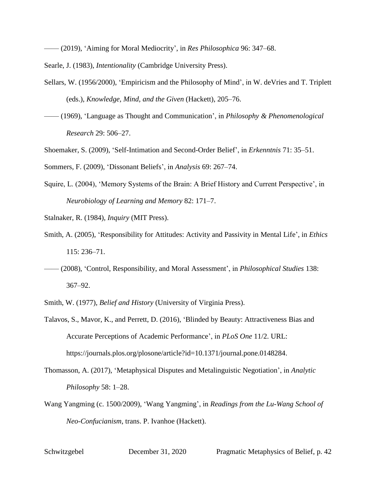—— (2019), 'Aiming for Moral Mediocrity', in *Res Philosophica* 96: 347–68.

Searle, J. (1983), *Intentionality* (Cambridge University Press).

- Sellars, W. (1956/2000), 'Empiricism and the Philosophy of Mind', in W. deVries and T. Triplett (eds.), *Knowledge, Mind, and the Given* (Hackett), 205–76.
- —— (1969), 'Language as Thought and Communication', in *Philosophy & Phenomenological Research* 29: 506–27.
- Shoemaker, S. (2009), 'Self-Intimation and Second-Order Belief', in *Erkenntnis* 71: 35–51.

Sommers, F. (2009), 'Dissonant Beliefs', in *Analysis* 69: 267–74.

Squire, L. (2004), 'Memory Systems of the Brain: A Brief History and Current Perspective', in *Neurobiology of Learning and Memory* 82: 171–7.

Stalnaker, R. (1984), *Inquiry* (MIT Press).

- Smith, A. (2005), 'Responsibility for Attitudes: Activity and Passivity in Mental Life', in *Ethics* 115: 236–71.
- —— (2008), 'Control, Responsibility, and Moral Assessment', in *Philosophical Studies* 138: 367–92.

Smith, W. (1977), *Belief and History* (University of Virginia Press).

- Talavos, S., Mavor, K., and Perrett, D. (2016), 'Blinded by Beauty: Attractiveness Bias and Accurate Perceptions of Academic Performance', in *PLoS One* 11/2. URL: https://journals.plos.org/plosone/article?id=10.1371/journal.pone.0148284.
- Thomasson, A. (2017), 'Metaphysical Disputes and Metalinguistic Negotiation', in *Analytic Philosophy* 58: 1–28.
- Wang Yangming (c. 1500/2009), 'Wang Yangming', in *Readings from the Lu-Wang School of Neo-Confucianism*, trans. P. Ivanhoe (Hackett).